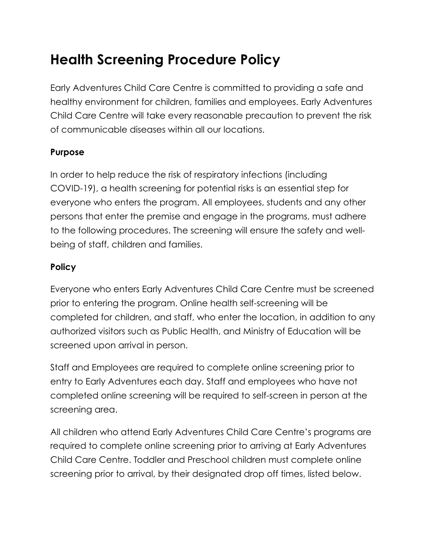# **Health Screening Procedure Policy**

Early Adventures Child Care Centre is committed to providing a safe and healthy environment for children, families and employees. Early Adventures Child Care Centre will take every reasonable precaution to prevent the risk of communicable diseases within all our locations.

#### **Purpose**

In order to help reduce the risk of respiratory infections (including COVID-19), a health screening for potential risks is an essential step for everyone who enters the program. All employees, students and any other persons that enter the premise and engage in the programs, must adhere to the following procedures. The screening will ensure the safety and wellbeing of staff, children and families.

#### **Policy**

Everyone who enters Early Adventures Child Care Centre must be screened prior to entering the program. Online health self-screening will be completed for children, and staff, who enter the location, in addition to any authorized visitors such as Public Health, and Ministry of Education will be screened upon arrival in person.

Staff and Employees are required to complete online screening prior to entry to Early Adventures each day. Staff and employees who have not completed online screening will be required to self-screen in person at the screening area.

All children who attend Early Adventures Child Care Centre's programs are required to complete online screening prior to arriving at Early Adventures Child Care Centre. Toddler and Preschool children must complete online screening prior to arrival, by their designated drop off times, listed below.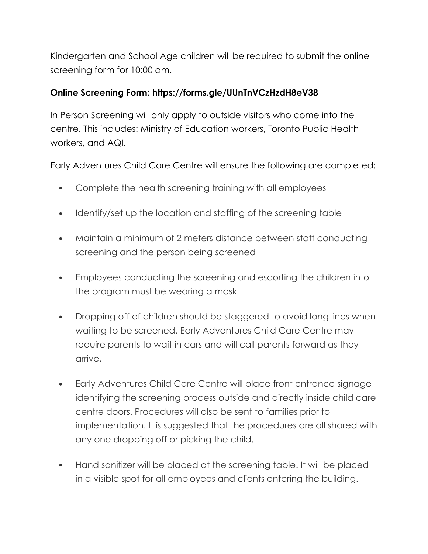Kindergarten and School Age children will be required to submit the online screening form for 10:00 am.

## **Online Screening Form: https://forms.gle/UUnTnVCzHzdH8eV38**

In Person Screening will only apply to outside visitors who come into the centre. This includes: Ministry of Education workers, Toronto Public Health workers, and AQI.

Early Adventures Child Care Centre will ensure the following are completed:

- Complete the health screening training with all employees
- Identify/set up the location and staffing of the screening table
- Maintain a minimum of 2 meters distance between staff conducting screening and the person being screened
- Employees conducting the screening and escorting the children into the program must be wearing a mask
- Dropping off of children should be staggered to avoid long lines when waiting to be screened. Early Adventures Child Care Centre may require parents to wait in cars and will call parents forward as they arrive.
- Early Adventures Child Care Centre will place front entrance signage identifying the screening process outside and directly inside child care centre doors. Procedures will also be sent to families prior to implementation. It is suggested that the procedures are all shared with any one dropping off or picking the child.
- Hand sanitizer will be placed at the screening table. It will be placed in a visible spot for all employees and clients entering the building.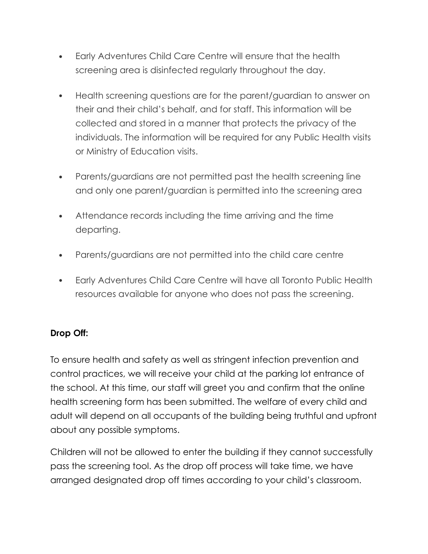- Early Adventures Child Care Centre will ensure that the health screening area is disinfected regularly throughout the day.
- Health screening questions are for the parent/guardian to answer on their and their child's behalf, and for staff. This information will be collected and stored in a manner that protects the privacy of the individuals. The information will be required for any Public Health visits or Ministry of Education visits.
- Parents/guardians are not permitted past the health screening line and only one parent/guardian is permitted into the screening area
- Attendance records including the time arriving and the time departing.
- Parents/guardians are not permitted into the child care centre
- Early Adventures Child Care Centre will have all Toronto Public Health resources available for anyone who does not pass the screening.

# **Drop Off:**

To ensure health and safety as well as stringent infection prevention and control practices, we will receive your child at the parking lot entrance of the school. At this time, our staff will greet you and confirm that the online health screening form has been submitted. The welfare of every child and adult will depend on all occupants of the building being truthful and upfront about any possible symptoms.

Children will not be allowed to enter the building if they cannot successfully pass the screening tool. As the drop off process will take time, we have arranged designated drop off times according to your child's classroom.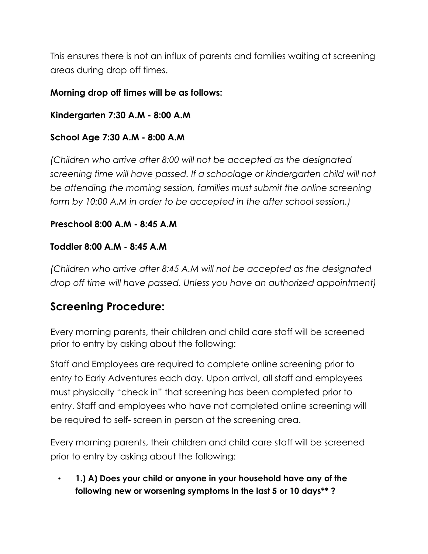This ensures there is not an influx of parents and families waiting at screening areas during drop off times.

#### **Morning drop off times will be as follows:**

**Kindergarten 7:30 A.M - 8:00 A.M** 

#### **School Age 7:30 A.M - 8:00 A.M**

*(Children who arrive after 8:00 will not be accepted as the designated screening time will have passed. If a schoolage or kindergarten child will not be attending the morning session, families must submit the online screening form by 10:00 A.M in order to be accepted in the after school session.)* 

#### **Preschool 8:00 A.M - 8:45 A.M**

#### **Toddler 8:00 A.M - 8:45 A.M**

*(Children who arrive after 8:45 A.M will not be accepted as the designated drop off time will have passed. Unless you have an authorized appointment)* 

# **Screening Procedure:**

Every morning parents, their children and child care staff will be screened prior to entry by asking about the following:

Staff and Employees are required to complete online screening prior to entry to Early Adventures each day. Upon arrival, all staff and employees must physically "check in" that screening has been completed prior to entry. Staff and employees who have not completed online screening will be required to self- screen in person at the screening area.

Every morning parents, their children and child care staff will be screened prior to entry by asking about the following:

• **1.) A) Does your child or anyone in your household have any of the following new or worsening symptoms in the last 5 or 10 days\*\* ?**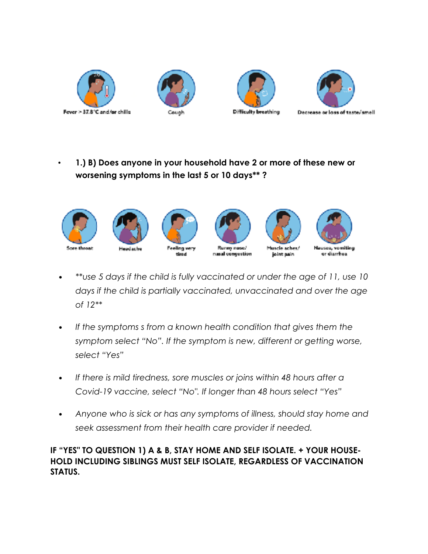







• **1.) B) Does anyone in your household have 2 or more of these new or worsening symptoms in the last 5 or 10 days\*\* ?**



- *• \*\*use 5 days if the child is fully vaccinated or under the age of 11, use 10 days if the child is partially vaccinated, unvaccinated and over the age of 12\*\**
- *• If the symptoms s from a known health condition that gives them the symptom select "No". If the symptom is new, different or getting worse, select "Yes"*
- *• If there is mild tiredness, sore muscles or joins within 48 hours after a Covid-19 vaccine, select "No". If longer than 48 hours select "Yes"*
- *• Anyone who is sick or has any symptoms of illness, should stay home and seek assessment from their health care provider if needed.*

#### **IF "YES" TO QUESTION 1) A & B, STAY HOME AND SELF ISOLATE. + YOUR HOUSE-HOLD INCLUDING SIBLINGS MUST SELF ISOLATE, REGARDLESS OF VACCINATION STATUS.**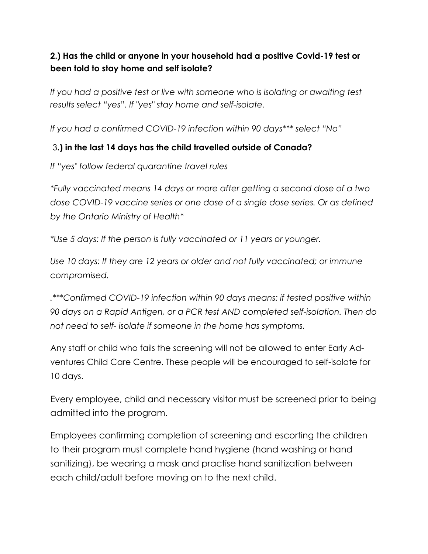## **2.) Has the child or anyone in your household had a positive Covid-19 test or been told to stay home and self isolate?**

*If you had a positive test or live with someone who is isolating or awaiting test results select "yes". If "yes" stay home and self-isolate.* 

*If you had a confirmed COVID-19 infection within 90 days\*\*\* select "No"* 

#### 3**.) in the last 14 days has the child travelled outside of Canada?**

*If "yes" follow federal quarantine travel rules* 

*\*Fully vaccinated means 14 days or more after getting a second dose of a two dose COVID-19 vaccine series or one dose of a single dose series. Or as defined by the Ontario Ministry of Health\** 

*\*Use 5 days: If the person is fully vaccinated or 11 years or younger.* 

*Use 10 days: If they are 12 years or older and not fully vaccinated; or immune compromised.* 

*.\*\*\*Confirmed COVID-19 infection within 90 days means: if tested positive within 90 days on a Rapid Antigen, or a PCR test AND completed self-isolation. Then do not need to self- isolate if someone in the home has symptoms.* 

Any staff or child who fails the screening will not be allowed to enter Early Adventures Child Care Centre. These people will be encouraged to self-isolate for 10 days.

Every employee, child and necessary visitor must be screened prior to being admitted into the program.

Employees confirming completion of screening and escorting the children to their program must complete hand hygiene (hand washing or hand sanitizing), be wearing a mask and practise hand sanitization between each child/adult before moving on to the next child.